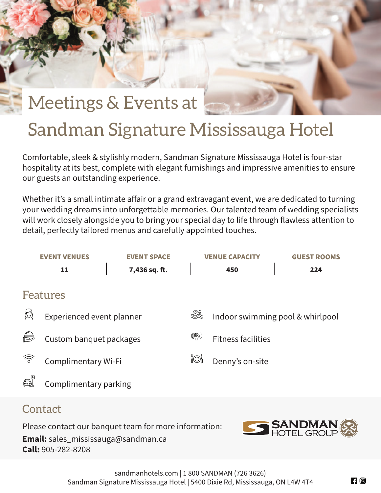

Comfortable, sleek & stylishly modern, Sandman Signature Mississauga Hotel is four-star hospitality at its best, complete with elegant furnishings and impressive amenities to ensure our guests an outstanding experience.

Whether it's a small intimate affair or a grand extravagant event, we are dedicated to turning your wedding dreams into unforgettable memories. Our talented team of wedding specialists will work closely alongside you to bring your special day to life through flawless attention to detail, perfectly tailored menus and carefully appointed touches.



## **Contact**

Please contact our banquet team for more information: **Email:** sales\_mississauga@sandman.ca **Call:** 905-282-8208